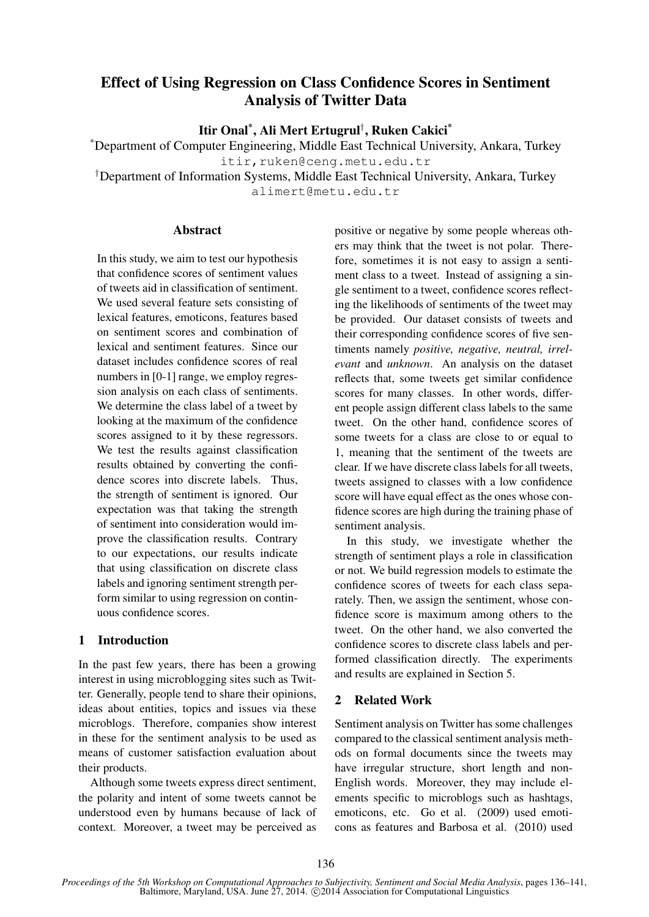# Effect of Using Regression on Class Confidence Scores in Sentiment Analysis of Twitter Data

Itir Onal\* , Ali Mert Ertugrul† , Ruken Cakici\*

\*Department of Computer Engineering, Middle East Technical University, Ankara, Turkey itir, ruken@ceng.metu.edu.tr

†Department of Information Systems, Middle East Technical University, Ankara, Turkey alimert@metu.edu.tr

#### **Abstract**

In this study, we aim to test our hypothesis that confidence scores of sentiment values of tweets aid in classification of sentiment. We used several feature sets consisting of lexical features, emoticons, features based on sentiment scores and combination of lexical and sentiment features. Since our dataset includes confidence scores of real numbers in [0-1] range, we employ regression analysis on each class of sentiments. We determine the class label of a tweet by looking at the maximum of the confidence scores assigned to it by these regressors. We test the results against classification results obtained by converting the confidence scores into discrete labels. Thus, the strength of sentiment is ignored. Our expectation was that taking the strength of sentiment into consideration would improve the classification results. Contrary to our expectations, our results indicate that using classification on discrete class labels and ignoring sentiment strength perform similar to using regression on continuous confidence scores.

## 1 Introduction

In the past few years, there has been a growing interest in using microblogging sites such as Twitter. Generally, people tend to share their opinions, ideas about entities, topics and issues via these microblogs. Therefore, companies show interest in these for the sentiment analysis to be used as means of customer satisfaction evaluation about their products.

Although some tweets express direct sentiment, the polarity and intent of some tweets cannot be understood even by humans because of lack of context. Moreover, a tweet may be perceived as positive or negative by some people whereas others may think that the tweet is not polar. Therefore, sometimes it is not easy to assign a sentiment class to a tweet. Instead of assigning a single sentiment to a tweet, confidence scores reflecting the likelihoods of sentiments of the tweet may be provided. Our dataset consists of tweets and their corresponding confidence scores of five sentiments namely *positive, negative, neutral, irrelevant* and *unknown*. An analysis on the dataset reflects that, some tweets get similar confidence scores for many classes. In other words, different people assign different class labels to the same tweet. On the other hand, confidence scores of some tweets for a class are close to or equal to 1, meaning that the sentiment of the tweets are clear. If we have discrete class labels for all tweets, tweets assigned to classes with a low confidence score will have equal effect as the ones whose confidence scores are high during the training phase of sentiment analysis.

In this study, we investigate whether the strength of sentiment plays a role in classification or not. We build regression models to estimate the confidence scores of tweets for each class separately. Then, we assign the sentiment, whose confidence score is maximum among others to the tweet. On the other hand, we also converted the confidence scores to discrete class labels and performed classification directly. The experiments and results are explained in Section 5.

### 2 Related Work

Sentiment analysis on Twitter has some challenges compared to the classical sentiment analysis methods on formal documents since the tweets may have irregular structure, short length and non-English words. Moreover, they may include elements specific to microblogs such as hashtags, emoticons, etc. Go et al. (2009) used emoticons as features and Barbosa et al. (2010) used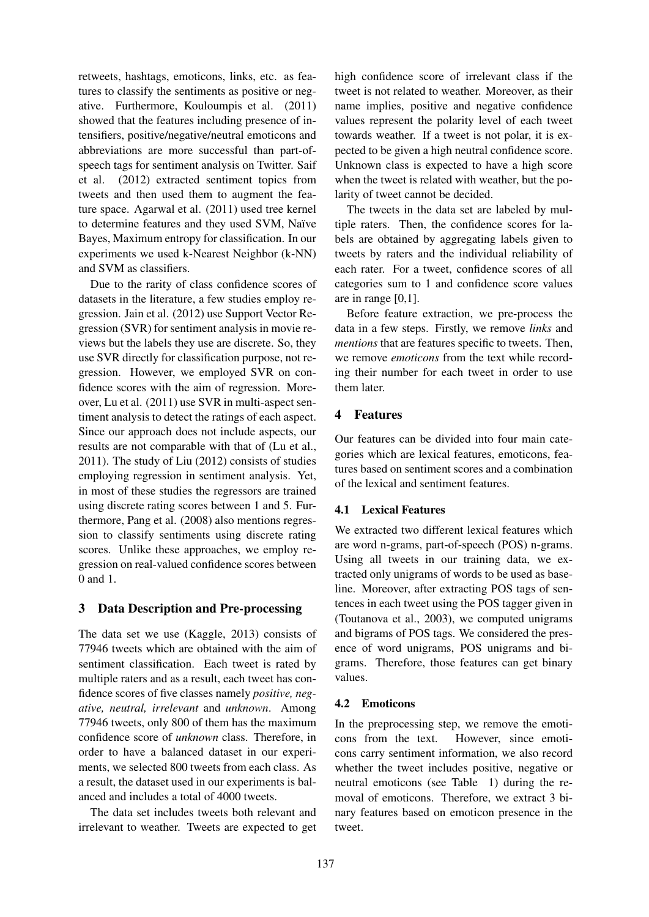retweets, hashtags, emoticons, links, etc. as features to classify the sentiments as positive or negative. Furthermore, Kouloumpis et al. (2011) showed that the features including presence of intensifiers, positive/negative/neutral emoticons and abbreviations are more successful than part-ofspeech tags for sentiment analysis on Twitter. Saif et al. (2012) extracted sentiment topics from tweets and then used them to augment the feature space. Agarwal et al. (2011) used tree kernel to determine features and they used SVM, Naïve Bayes, Maximum entropy for classification. In our experiments we used k-Nearest Neighbor (k-NN) and SVM as classifiers.

Due to the rarity of class confidence scores of datasets in the literature, a few studies employ regression. Jain et al. (2012) use Support Vector Regression (SVR) for sentiment analysis in movie reviews but the labels they use are discrete. So, they use SVR directly for classification purpose, not regression. However, we employed SVR on confidence scores with the aim of regression. Moreover, Lu et al. (2011) use SVR in multi-aspect sentiment analysis to detect the ratings of each aspect. Since our approach does not include aspects, our results are not comparable with that of (Lu et al., 2011). The study of Liu (2012) consists of studies employing regression in sentiment analysis. Yet, in most of these studies the regressors are trained using discrete rating scores between 1 and 5. Furthermore, Pang et al. (2008) also mentions regression to classify sentiments using discrete rating scores. Unlike these approaches, we employ regression on real-valued confidence scores between 0 and 1.

## 3 Data Description and Pre-processing

The data set we use (Kaggle, 2013) consists of 77946 tweets which are obtained with the aim of sentiment classification. Each tweet is rated by multiple raters and as a result, each tweet has confidence scores of five classes namely *positive, negative, neutral, irrelevant* and *unknown*. Among 77946 tweets, only 800 of them has the maximum confidence score of *unknown* class. Therefore, in order to have a balanced dataset in our experiments, we selected 800 tweets from each class. As a result, the dataset used in our experiments is balanced and includes a total of 4000 tweets.

The data set includes tweets both relevant and irrelevant to weather. Tweets are expected to get high confidence score of irrelevant class if the tweet is not related to weather. Moreover, as their name implies, positive and negative confidence values represent the polarity level of each tweet towards weather. If a tweet is not polar, it is expected to be given a high neutral confidence score. Unknown class is expected to have a high score when the tweet is related with weather, but the polarity of tweet cannot be decided.

The tweets in the data set are labeled by multiple raters. Then, the confidence scores for labels are obtained by aggregating labels given to tweets by raters and the individual reliability of each rater. For a tweet, confidence scores of all categories sum to 1 and confidence score values are in range  $[0,1]$ .

Before feature extraction, we pre-process the data in a few steps. Firstly, we remove *links* and *mentions* that are features specific to tweets. Then, we remove *emoticons* from the text while recording their number for each tweet in order to use them later.

## 4 Features

Our features can be divided into four main categories which are lexical features, emoticons, features based on sentiment scores and a combination of the lexical and sentiment features.

## 4.1 Lexical Features

We extracted two different lexical features which are word n-grams, part-of-speech (POS) n-grams. Using all tweets in our training data, we extracted only unigrams of words to be used as baseline. Moreover, after extracting POS tags of sentences in each tweet using the POS tagger given in (Toutanova et al., 2003), we computed unigrams and bigrams of POS tags. We considered the presence of word unigrams, POS unigrams and bigrams. Therefore, those features can get binary values.

## 4.2 Emoticons

In the preprocessing step, we remove the emoticons from the text. However, since emoticons carry sentiment information, we also record whether the tweet includes positive, negative or neutral emoticons (see Table 1) during the removal of emoticons. Therefore, we extract 3 binary features based on emoticon presence in the tweet.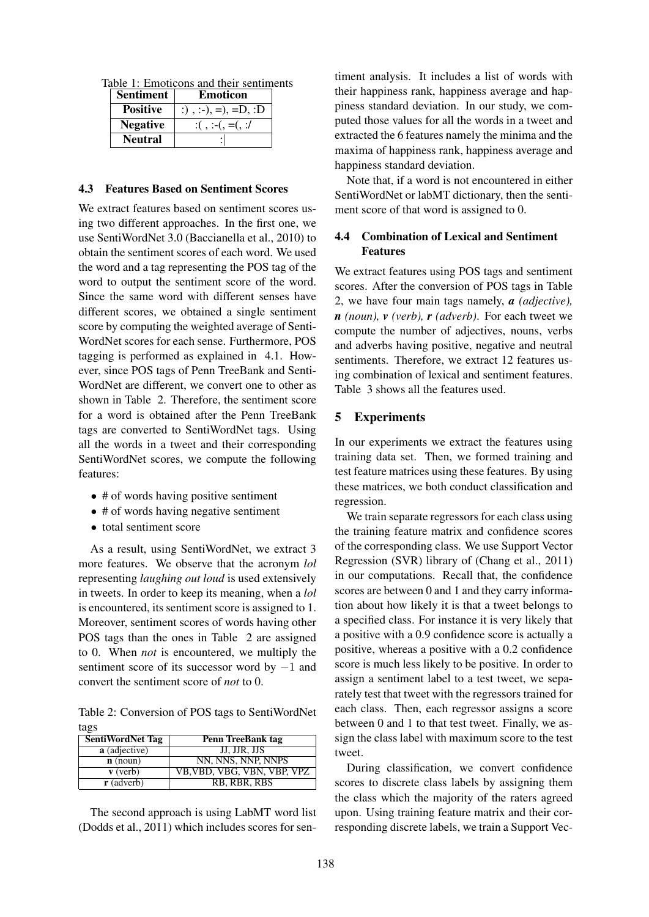|  | Table 1: Emoticons and their sentiments |  |  |  |
|--|-----------------------------------------|--|--|--|
|  |                                         |  |  |  |

| <b>Sentiment</b> | <b>Emoticon</b>         |  |  |
|------------------|-------------------------|--|--|
| <b>Positive</b>  | :), :-), =), = $D$ , :D |  |  |
| <b>Negative</b>  | $:(,:-(-,^{-})$         |  |  |
| <b>Neutral</b>   |                         |  |  |

#### 4.3 Features Based on Sentiment Scores

We extract features based on sentiment scores using two different approaches. In the first one, we use SentiWordNet 3.0 (Baccianella et al., 2010) to obtain the sentiment scores of each word. We used the word and a tag representing the POS tag of the word to output the sentiment score of the word. Since the same word with different senses have different scores, we obtained a single sentiment score by computing the weighted average of Senti-WordNet scores for each sense. Furthermore, POS tagging is performed as explained in 4.1. However, since POS tags of Penn TreeBank and Senti-WordNet are different, we convert one to other as shown in Table 2. Therefore, the sentiment score for a word is obtained after the Penn TreeBank tags are converted to SentiWordNet tags. Using all the words in a tweet and their corresponding SentiWordNet scores, we compute the following features:

- # of words having positive sentiment
- # of words having negative sentiment
- total sentiment score

As a result, using SentiWordNet, we extract 3 more features. We observe that the acronym *lol* representing *laughing out loud* is used extensively in tweets. In order to keep its meaning, when a *lol* is encountered, its sentiment score is assigned to 1. Moreover, sentiment scores of words having other POS tags than the ones in Table 2 are assigned to 0. When *not* is encountered, we multiply the sentiment score of its successor word by −1 and convert the sentiment score of *not* to 0.

Table 2: Conversion of POS tags to SentiWordNet tags

| <b>SentiWordNet Tag</b> | Penn TreeBank tag           |  |  |
|-------------------------|-----------------------------|--|--|
| a (adjective)           | JJ, JJR, JJS                |  |  |
| $\mathbf{n}$ (noun)     | NN, NNS, NNP, NNPS          |  |  |
| $\bf{v}$ (verb)         | VB, VBD, VBG, VBN, VBP, VPZ |  |  |
| $\mathbf{r}$ (adverb)   | RB, RBR, RBS                |  |  |

The second approach is using LabMT word list (Dodds et al., 2011) which includes scores for sentiment analysis. It includes a list of words with their happiness rank, happiness average and happiness standard deviation. In our study, we computed those values for all the words in a tweet and extracted the 6 features namely the minima and the maxima of happiness rank, happiness average and happiness standard deviation.

Note that, if a word is not encountered in either SentiWordNet or labMT dictionary, then the sentiment score of that word is assigned to 0.

## 4.4 Combination of Lexical and Sentiment Features

We extract features using POS tags and sentiment scores. After the conversion of POS tags in Table 2, we have four main tags namely, *a (adjective), n (noun), v (verb), r (adverb)*. For each tweet we compute the number of adjectives, nouns, verbs and adverbs having positive, negative and neutral sentiments. Therefore, we extract 12 features using combination of lexical and sentiment features. Table 3 shows all the features used.

#### 5 Experiments

In our experiments we extract the features using training data set. Then, we formed training and test feature matrices using these features. By using these matrices, we both conduct classification and regression.

We train separate regressors for each class using the training feature matrix and confidence scores of the corresponding class. We use Support Vector Regression (SVR) library of (Chang et al., 2011) in our computations. Recall that, the confidence scores are between 0 and 1 and they carry information about how likely it is that a tweet belongs to a specified class. For instance it is very likely that a positive with a 0.9 confidence score is actually a positive, whereas a positive with a 0.2 confidence score is much less likely to be positive. In order to assign a sentiment label to a test tweet, we separately test that tweet with the regressors trained for each class. Then, each regressor assigns a score between 0 and 1 to that test tweet. Finally, we assign the class label with maximum score to the test tweet.

During classification, we convert confidence scores to discrete class labels by assigning them the class which the majority of the raters agreed upon. Using training feature matrix and their corresponding discrete labels, we train a Support Vec-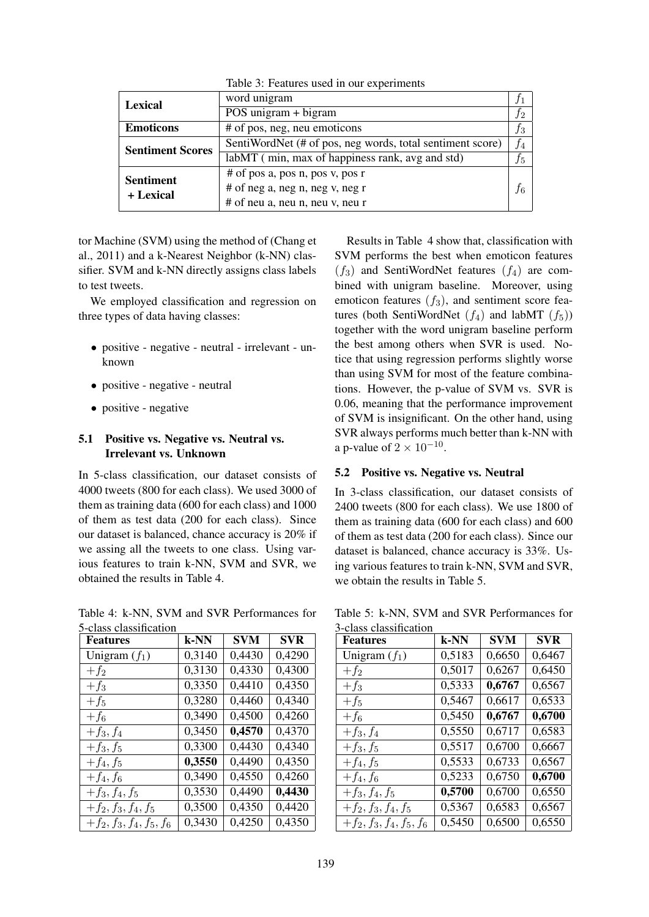| <b>Lexical</b>          | word unigram                                              |       |
|-------------------------|-----------------------------------------------------------|-------|
|                         | POS unigram $+$ bigram                                    |       |
| <b>Emoticons</b>        | # of pos, neg, neu emoticons                              | $f_3$ |
| <b>Sentiment Scores</b> | SentiWordNet (# of pos, neg words, total sentiment score) | $f_4$ |
|                         | labMT (min, max of happiness rank, avg and std)           | $f_5$ |
| <b>Sentiment</b>        | $#$ of pos a, pos n, pos v, pos r                         |       |
| + Lexical               | # of neg a, neg n, neg v, neg r                           | $f_6$ |
|                         | $#$ of neu a, neu n, neu v, neu r                         |       |

Table 3: Features used in our experiments

tor Machine (SVM) using the method of (Chang et al., 2011) and a k-Nearest Neighbor (k-NN) classifier. SVM and k-NN directly assigns class labels to test tweets.

We employed classification and regression on three types of data having classes:

- positive negative neutral irrelevant unknown
- positive negative neutral
- positive negative

## 5.1 Positive vs. Negative vs. Neutral vs. Irrelevant vs. Unknown

In 5-class classification, our dataset consists of 4000 tweets (800 for each class). We used 3000 of them as training data (600 for each class) and 1000 of them as test data (200 for each class). Since our dataset is balanced, chance accuracy is 20% if we assing all the tweets to one class. Using various features to train k-NN, SVM and SVR, we obtained the results in Table 4.

Table 4: k-NN, SVM and SVR Performances for 5-class classification

| <b>Features</b>            | k-NN   | <b>SVM</b> | <b>SVR</b> |
|----------------------------|--------|------------|------------|
| Unigram $(f_1)$            | 0,3140 | 0,4430     | 0,4290     |
| $+f_2$                     | 0,3130 | 0,4330     | 0,4300     |
| $+f_3$                     | 0,3350 | 0,4410     | 0,4350     |
| $+f_5$                     | 0,3280 | 0,4460     | 0,4340     |
| $+f_6$                     | 0,3490 | 0,4500     | 0,4260     |
| $+f_3, f_4$                | 0,3450 | 0,4570     | 0,4370     |
| $+f_3, f_5$                | 0,3300 | 0,4430     | 0,4340     |
| $+f_4, f_5$                | 0,3550 | 0,4490     | 0,4350     |
| $+f_4, f_6$                | 0,3490 | 0,4550     | 0,4260     |
| $+f_3, f_4, f_5$           | 0,3530 | 0,4490     | 0,4430     |
| $+f_2, f_3, f_4, f_5$      | 0,3500 | 0,4350     | 0,4420     |
| $+f_2, f_3, f_4, f_5, f_6$ | 0,3430 | 0,4250     | 0,4350     |

Results in Table 4 show that, classification with SVM performs the best when emoticon features  $(f_3)$  and SentiWordNet features  $(f_4)$  are combined with unigram baseline. Moreover, using emoticon features  $(f_3)$ , and sentiment score features (both SentiWordNet  $(f_4)$  and labMT  $(f_5)$ ) together with the word unigram baseline perform the best among others when SVR is used. Notice that using regression performs slightly worse than using SVM for most of the feature combinations. However, the p-value of SVM vs. SVR is 0.06, meaning that the performance improvement of SVM is insignificant. On the other hand, using SVR always performs much better than k-NN with a p-value of  $2 \times 10^{-10}$ .

### 5.2 Positive vs. Negative vs. Neutral

In 3-class classification, our dataset consists of 2400 tweets (800 for each class). We use 1800 of them as training data (600 for each class) and 600 of them as test data (200 for each class). Since our dataset is balanced, chance accuracy is 33%. Using various features to train k-NN, SVM and SVR, we obtain the results in Table 5.

Table 5: k-NN, SVM and SVR Performances for 3-class classification

| <b>Features</b>            | k-NN   | <b>SVM</b> | <b>SVR</b> |
|----------------------------|--------|------------|------------|
| Unigram $(f_1)$            | 0,5183 | 0,6650     | 0,6467     |
| $+f_2$                     | 0,5017 | 0,6267     | 0,6450     |
| $+f_3$                     | 0,5333 | 0,6767     | 0,6567     |
| $+f_5$                     | 0,5467 | 0,6617     | 0,6533     |
| $+f_6$                     | 0,5450 | 0,6767     | 0,6700     |
| $+f_3, f_4$                | 0,5550 | 0,6717     | 0,6583     |
| $+f_3, f_5$                | 0,5517 | 0,6700     | 0,6667     |
| $+f_4, f_5$                | 0,5533 | 0,6733     | 0,6567     |
| $+f_4, f_6$                | 0,5233 | 0,6750     | 0,6700     |
| $+f_3, f_4, f_5$           | 0,5700 | 0,6700     | 0,6550     |
| $+f_2, f_3, f_4, f_5$      | 0,5367 | 0,6583     | 0,6567     |
| $+f_2, f_3, f_4, f_5, f_6$ | 0,5450 | 0,6500     | 0,6550     |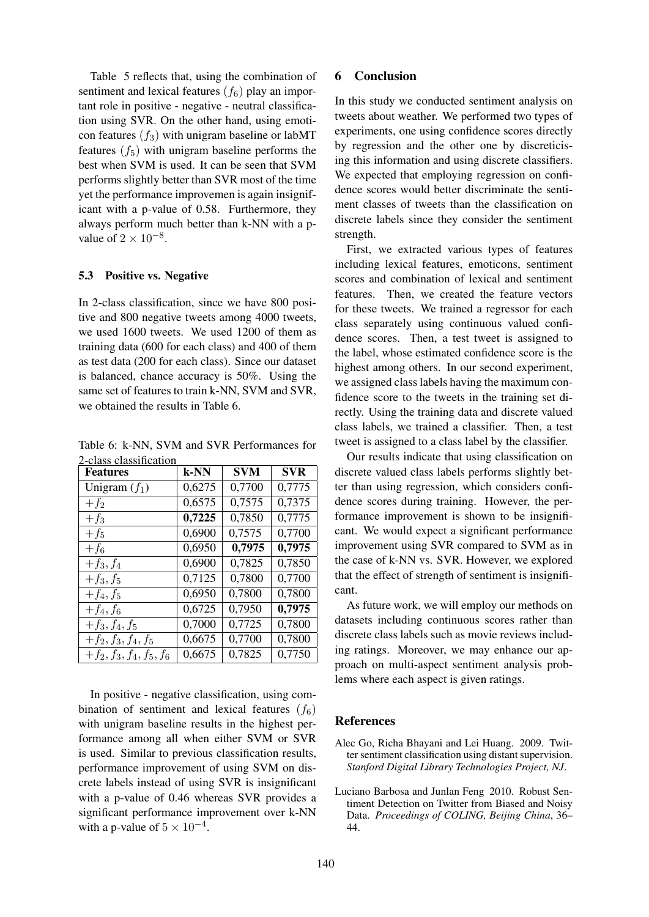Table 5 reflects that, using the combination of sentiment and lexical features  $(f_6)$  play an important role in positive - negative - neutral classification using SVR. On the other hand, using emoticon features  $(f_3)$  with unigram baseline or labMT features  $(f_5)$  with unigram baseline performs the best when SVM is used. It can be seen that SVM performs slightly better than SVR most of the time yet the performance improvemen is again insignificant with a p-value of 0.58. Furthermore, they always perform much better than k-NN with a pvalue of  $2 \times 10^{-8}$ .

#### 5.3 Positive vs. Negative

In 2-class classification, since we have 800 positive and 800 negative tweets among 4000 tweets, we used 1600 tweets. We used 1200 of them as training data (600 for each class) and 400 of them as test data (200 for each class). Since our dataset is balanced, chance accuracy is 50%. Using the same set of features to train k-NN, SVM and SVR, we obtained the results in Table 6.

Table 6: k-NN, SVM and SVR Performances for 2-class classification

| <b>Features</b>            | k-NN   | <b>SVM</b> | <b>SVR</b> |
|----------------------------|--------|------------|------------|
| Unigram $(f_1)$            | 0,6275 | 0,7700     | 0,7775     |
| $+f_2$                     | 0,6575 | 0,7575     | 0,7375     |
| $+f_3$                     | 0,7225 | 0,7850     | 0,7775     |
| $+f_5$                     | 0,6900 | 0,7575     | 0,7700     |
| $+f_6$                     | 0,6950 | 0,7975     | 0,7975     |
| $+f_3, f_4$                | 0,6900 | 0,7825     | 0,7850     |
| $+f_3, f_5$                | 0,7125 | 0,7800     | 0,7700     |
| $+f_4, f_5$                | 0,6950 | 0,7800     | 0,7800     |
| $+f_4, f_6$                | 0,6725 | 0,7950     | 0,7975     |
| $+f_3, f_4, f_5$           | 0,7000 | 0,7725     | 0,7800     |
| $+f_2, f_3, f_4, f_5$      | 0,6675 | 0,7700     | 0,7800     |
| $+f_2, f_3, f_4, f_5, f_6$ | 0,6675 | 0,7825     | 0,7750     |

In positive - negative classification, using combination of sentiment and lexical features  $(f_6)$ with unigram baseline results in the highest performance among all when either SVM or SVR is used. Similar to previous classification results, performance improvement of using SVM on discrete labels instead of using SVR is insignificant with a p-value of 0.46 whereas SVR provides a significant performance improvement over k-NN with a p-value of  $5 \times 10^{-4}$ .

### 6 Conclusion

In this study we conducted sentiment analysis on tweets about weather. We performed two types of experiments, one using confidence scores directly by regression and the other one by discreticising this information and using discrete classifiers. We expected that employing regression on confidence scores would better discriminate the sentiment classes of tweets than the classification on discrete labels since they consider the sentiment strength.

First, we extracted various types of features including lexical features, emoticons, sentiment scores and combination of lexical and sentiment features. Then, we created the feature vectors for these tweets. We trained a regressor for each class separately using continuous valued confidence scores. Then, a test tweet is assigned to the label, whose estimated confidence score is the highest among others. In our second experiment, we assigned class labels having the maximum confidence score to the tweets in the training set directly. Using the training data and discrete valued class labels, we trained a classifier. Then, a test tweet is assigned to a class label by the classifier.

Our results indicate that using classification on discrete valued class labels performs slightly better than using regression, which considers confidence scores during training. However, the performance improvement is shown to be insignificant. We would expect a significant performance improvement using SVR compared to SVM as in the case of k-NN vs. SVR. However, we explored that the effect of strength of sentiment is insignificant.

As future work, we will employ our methods on datasets including continuous scores rather than discrete class labels such as movie reviews including ratings. Moreover, we may enhance our approach on multi-aspect sentiment analysis problems where each aspect is given ratings.

### References

Alec Go, Richa Bhayani and Lei Huang. 2009. Twitter sentiment classification using distant supervision. *Stanford Digital Library Technologies Project, NJ*.

Luciano Barbosa and Junlan Feng 2010. Robust Sentiment Detection on Twitter from Biased and Noisy Data. *Proceedings of COLING, Beijing China*, 36– 44.